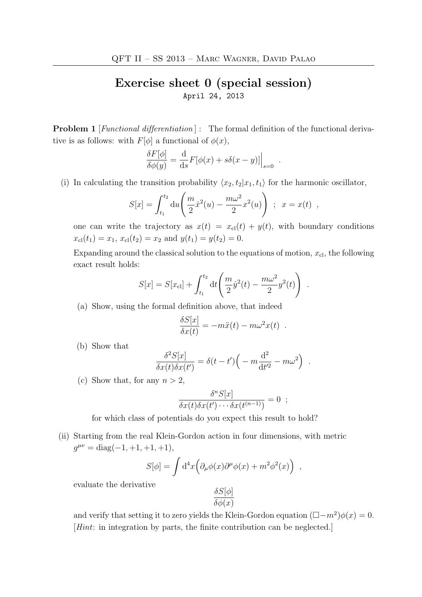## Exercise sheet 0 (special session) April 24, 2013

**Problem 1** [*Functional differentiation*] : The formal definition of the functional derivative is as follows: with  $F[\phi]$  a functional of  $\phi(x)$ ,

$$
\frac{\delta F[\phi]}{\delta \phi(y)} = \frac{\mathrm{d}}{\mathrm{d}s} F[\phi(x) + s\delta(x-y)]\Big|_{s=0} .
$$

(i) In calculating the transition probability  $\langle x_2, t_2 | x_1, t_1 \rangle$  for the harmonic oscillator,

$$
S[x] = \int_{t_1}^{t_2} du \left( \frac{m}{2} \dot{x}^2(u) - \frac{m\omega^2}{2} x^2(u) \right) ; \ x = x(t) ,
$$

one can write the trajectory as  $x(t) = x_{\text{cl}}(t) + y(t)$ , with boundary conditions  $x_{\text{cl}}(t_1) = x_1, x_{\text{cl}}(t_2) = x_2 \text{ and } y(t_1) = y(t_2) = 0.$ 

Expanding around the classical solution to the equations of motion,  $x_{\text{cl}}$ , the following exact result holds:

$$
S[x] = S[x_{\rm cl}] + \int_{t_1}^{t_2} dt \left( \frac{m}{2} \dot{y}^2(t) - \frac{m\omega^2}{2} y^2(t) \right) .
$$

(a) Show, using the formal definition above, that indeed

$$
\frac{\delta S[x]}{\delta x(t)} = -m\ddot{x}(t) - m\omega^2 x(t) .
$$

(b) Show that

$$
\frac{\delta^2 S[x]}{\delta x(t)\delta x(t')} = \delta(t-t')\Big(-m\frac{\mathrm{d}^2}{\mathrm{d}t'^2} - m\omega^2\Big) .
$$

(c) Show that, for any  $n > 2$ ,

$$
\frac{\delta^n S[x]}{\delta x(t)\delta x(t')\cdots\delta x(t^{(n-1)})} = 0 ;
$$

for which class of potentials do you expect this result to hold?

(ii) Starting from the real Klein-Gordon action in four dimensions, with metric  $g^{\mu\nu} = \text{diag}(-1, +1, +1, +1),$ 

$$
S[\phi] = \int d^4x \Big( \partial_\mu \phi(x) \partial^\mu \phi(x) + m^2 \phi^2(x) \Big) ,
$$

evaluate the derivative

$$
\frac{\delta S[\phi]}{\delta \phi(x)}
$$

and verify that setting it to zero yields the Klein-Gordon equation  $(\Box - m^2)\phi(x) = 0$ . [Hint: in integration by parts, the finite contribution can be neglected.]